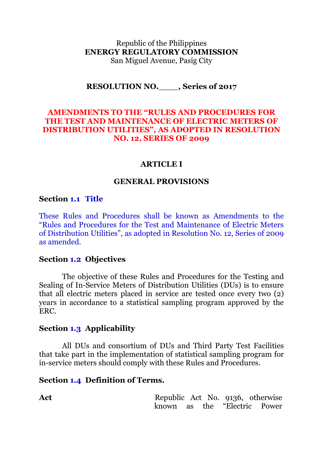Republic of the Philippines **ENERGY REGULATORY COMMISSION** San Miguel Avenue, Pasig City

### **RESOLUTION NO.**\_\_\_\_**, Series of 2017**

## **AMENDMENTS TO THE "RULES AND PROCEDURES FOR THE TEST AND MAINTENANCE OF ELECTRIC METERS OF DISTRIBUTION UTILITIES", AS ADOPTED IN RESOLUTION NO. 12, SERIES OF 2009**

#### **ARTICLE I**

#### **GENERAL PROVISIONS**

#### **Section 1.1 Title**

These Rules and Procedures shall be known as Amendments to the "Rules and Procedures for the Test and Maintenance of Electric Meters of Distribution Utilities", as adopted in Resolution No. 12, Series of 2009 as amended.

#### **Section 1.2 Objectives**

The objective of these Rules and Procedures for the Testing and Sealing of In-Service Meters of Distribution Utilities (DUs) is to ensure that all electric meters placed in service are tested once every two (2) years in accordance to a statistical sampling program approved by the ERC.

### **Section 1.3 Applicability**

All DUs and consortium of DUs and Third Party Test Facilities that take part in the implementation of statistical sampling program for in-service meters should comply with these Rules and Procedures.

#### **Section 1.4 Definition of Terms.**

Act Republic Act No. 9136, otherwise known as the "Electric Power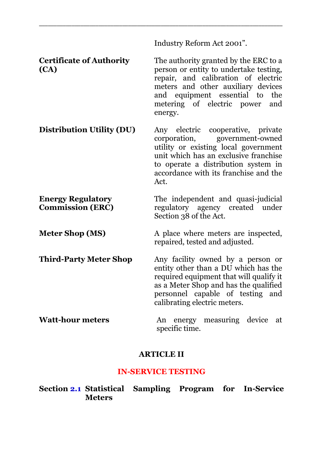Industry Reform Act 2001".

**Certificate of Authority (CA)** The authority granted by the ERC to a person or entity to undertake testing, repair, and calibration of electric meters and other auxiliary devices and equipment essential to the metering of electric power and energy.

\_\_\_\_\_\_\_\_\_\_\_\_\_\_\_\_\_\_\_\_\_\_\_\_\_\_\_\_\_\_\_\_\_\_\_\_\_\_\_\_\_\_\_\_\_\_\_\_\_\_\_\_\_\_\_\_\_\_\_\_\_\_\_\_\_\_\_\_\_\_\_\_\_\_\_\_\_\_\_\_\_\_

**Distribution Utility (DU)** Any electric cooperative, private corporation, government-owned government-owned utility or existing local government unit which has an exclusive franchise to operate a distribution system in accordance with its franchise and the Act.

**Energy Regulatory Commission (ERC)** The independent and quasi-judicial regulatory agency created under Section 38 of the Act.

**Meter Shop (MS)** A place where meters are inspected, repaired, tested and adjusted.

**Third-Party Meter Shop** Any facility owned by a person or entity other than a DU which has the required equipment that will qualify it as a Meter Shop and has the qualified personnel capable of testing and calibrating electric meters.

**Watt-hour meters** An energy measuring device at specific time.

## **ARTICLE II**

## **IN-SERVICE TESTING**

**Section 2.1 Statistical Sampling Program for In-Service Meters**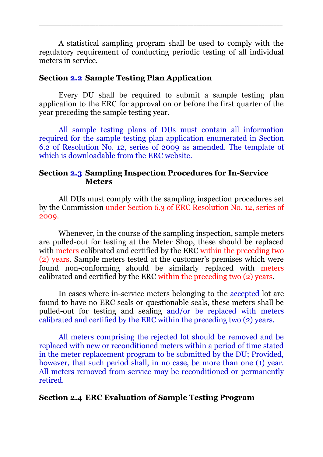A statistical sampling program shall be used to comply with the regulatory requirement of conducting periodic testing of all individual meters in service.

\_\_\_\_\_\_\_\_\_\_\_\_\_\_\_\_\_\_\_\_\_\_\_\_\_\_\_\_\_\_\_\_\_\_\_\_\_\_\_\_\_\_\_\_\_\_\_\_\_\_\_\_\_\_\_\_\_\_\_\_\_\_\_\_\_\_\_\_\_\_\_\_\_\_\_\_\_\_\_\_\_\_

## **Section 2.2 Sample Testing Plan Application**

Every DU shall be required to submit a sample testing plan application to the ERC for approval on or before the first quarter of the year preceding the sample testing year.

All sample testing plans of DUs must contain all information required for the sample testing plan application enumerated in Section 6.2 of Resolution No. 12, series of 2009 as amended. The template of which is downloadable from the ERC website.

## **Section 2.3 Sampling Inspection Procedures for In-Service Meters**

All DUs must comply with the sampling inspection procedures set by the Commission under Section 6.3 of ERC Resolution No. 12, series of 2009.

Whenever, in the course of the sampling inspection, sample meters are pulled-out for testing at the Meter Shop, these should be replaced with meters calibrated and certified by the ERC within the preceding two (2) years. Sample meters tested at the customer's premises which were found non-conforming should be similarly replaced with meters calibrated and certified by the ERC within the preceding two (2) years.

In cases where in-service meters belonging to the accepted lot are found to have no ERC seals or questionable seals, these meters shall be pulled-out for testing and sealing and/or be replaced with meters calibrated and certified by the ERC within the preceding two (2) years.

All meters comprising the rejected lot should be removed and be replaced with new or reconditioned meters within a period of time stated in the meter replacement program to be submitted by the DU; Provided, however, that such period shall, in no case, be more than one (1) year. All meters removed from service may be reconditioned or permanently retired.

# **Section 2.4 ERC Evaluation of Sample Testing Program**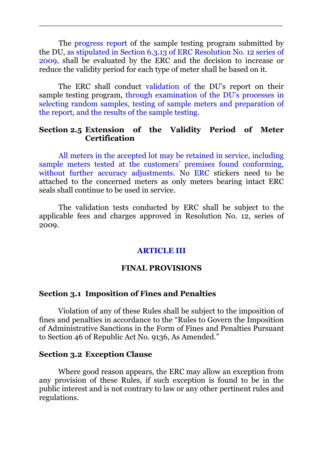The progress report of the sample testing program submitted by the DU, as stipulated in Section 6.3.13 of ERC Resolution No. 12 series of 2009, shall be evaluated by the ERC and the decision to increase or reduce the validity period for each type of meter shall be based on it.

\_\_\_\_\_\_\_\_\_\_\_\_\_\_\_\_\_\_\_\_\_\_\_\_\_\_\_\_\_\_\_\_\_\_\_\_\_\_\_\_\_\_\_\_\_\_\_\_\_\_\_\_\_\_\_\_\_\_\_\_\_\_\_\_\_\_\_\_\_\_\_\_\_\_\_\_\_\_\_\_\_\_

The ERC shall conduct validation of the DU's report on their sample testing program, through examination of the DU's processes in selecting random samples, testing of sample meters and preparation of the report, and the results of the sample testing.

## **Section 2.5 Extension of the Validity Period of Meter Certification**

All meters in the accepted lot may be retained in service, including sample meters tested at the customers' premises found conforming, without further accuracy adjustments. No ERC stickers need to be attached to the concerned meters as only meters bearing intact ERC seals shall continue to be used in service.

The validation tests conducted by ERC shall be subject to the applicable fees and charges approved in Resolution No. 12, series of 2009.

## **ARTICLE III**

#### **FINAL PROVISIONS**

### **Section 3.1 Imposition of Fines and Penalties**

Violation of any of these Rules shall be subject to the imposition of fines and penalties in accordance to the "Rules to Govern the Imposition of Administrative Sanctions in the Form of Fines and Penalties Pursuant to Section 46 of Republic Act No. 9136, As Amended."

## **Section 3.2 Exception Clause**

Where good reason appears, the ERC may allow an exception from any provision of these Rules, if such exception is found to be in the public interest and is not contrary to law or any other pertinent rules and regulations.